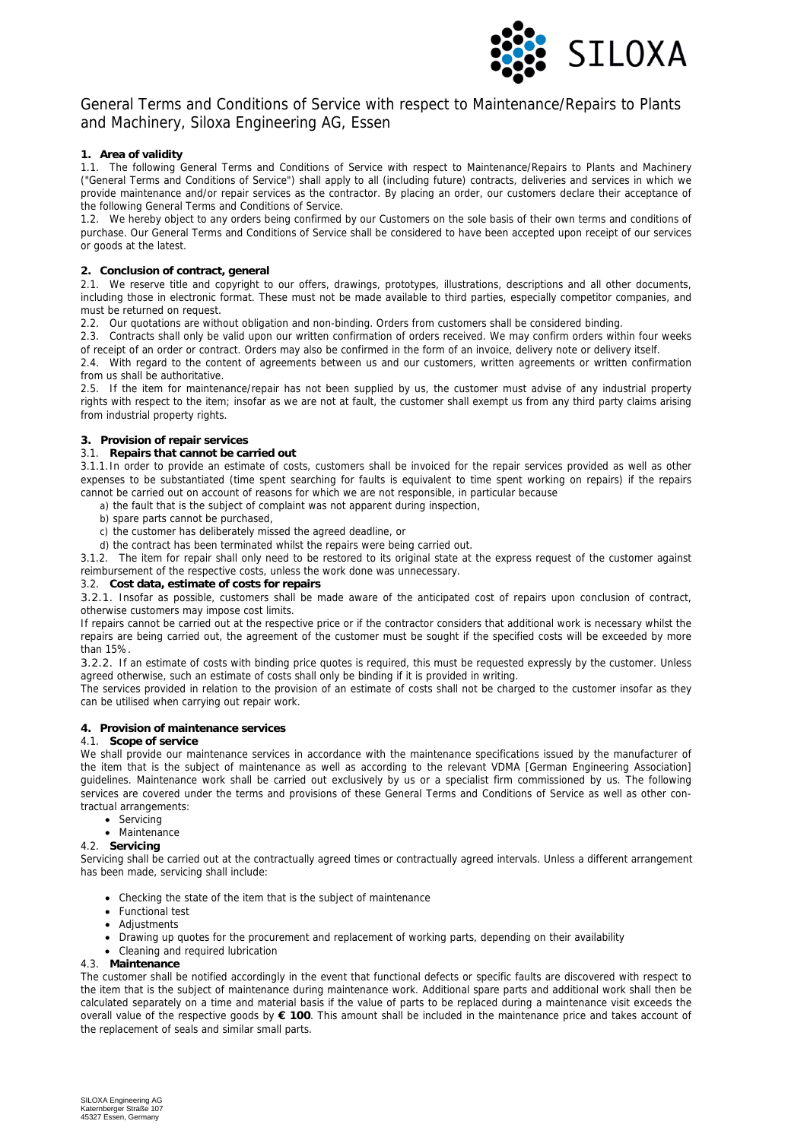

# General Terms and Conditions of Service with respect to Maintenance/Repairs to Plants and Machinery, Siloxa Engineering AG, Essen

# **1. Area of validity**

1.1. The following General Terms and Conditions of Service with respect to Maintenance/Repairs to Plants and Machinery ("General Terms and Conditions of Service") shall apply to all (including future) contracts, deliveries and services in which we provide maintenance and/or repair services as the contractor. By placing an order, our customers declare their acceptance of the following General Terms and Conditions of Service.

1.2. We hereby object to any orders being confirmed by our Customers on the sole basis of their own terms and conditions of purchase. Our General Terms and Conditions of Service shall be considered to have been accepted upon receipt of our services or goods at the latest.

## **2. Conclusion of contract, general**

2.1. We reserve title and copyright to our offers, drawings, prototypes, illustrations, descriptions and all other documents, including those in electronic format. These must not be made available to third parties, especially competitor companies, and must be returned on request.

2.2. Our quotations are without obligation and non-binding. Orders from customers shall be considered binding.

2.3. Contracts shall only be valid upon our written confirmation of orders received. We may confirm orders within four weeks of receipt of an order or contract. Orders may also be confirmed in the form of an invoice, delivery note or delivery itself.

2.4. With regard to the content of agreements between us and our customers, written agreements or written confirmation from us shall be authoritative.

2.5. If the item for maintenance/repair has not been supplied by us, the customer must advise of any industrial property rights with respect to the item; insofar as we are not at fault, the customer shall exempt us from any third party claims arising from industrial property rights.

## **3. Provision of repair services**

## 3.1. **Repairs that cannot be carried out**

3.1.1.In order to provide an estimate of costs, customers shall be invoiced for the repair services provided as well as other expenses to be substantiated (time spent searching for faults is equivalent to time spent working on repairs) if the repairs cannot be carried out on account of reasons for which we are not responsible, in particular because

a) the fault that is the subject of complaint was not apparent during inspection,

- b) spare parts cannot be purchased,
- c) the customer has deliberately missed the agreed deadline, or
- d) the contract has been terminated whilst the repairs were being carried out.

3.1.2. The item for repair shall only need to be restored to its original state at the express request of the customer against reimbursement of the respective costs, unless the work done was unnecessary.

# 3.2. **Cost data, estimate of costs for repairs**

3.2.1. Insofar as possible, customers shall be made aware of the anticipated cost of repairs upon conclusion of contract, otherwise customers may impose cost limits.

If repairs cannot be carried out at the respective price or if the contractor considers that additional work is necessary whilst the repairs are being carried out, the agreement of the customer must be sought if the specified costs will be exceeded by more than 15%.

3.2.2. If an estimate of costs with binding price quotes is required, this must be requested expressly by the customer. Unless agreed otherwise, such an estimate of costs shall only be binding if it is provided in writing.

The services provided in relation to the provision of an estimate of costs shall not be charged to the customer insofar as they can be utilised when carrying out repair work.

#### **4. Provision of maintenance services**

## 4.1. **Scope of service**

We shall provide our maintenance services in accordance with the maintenance specifications issued by the manufacturer of the item that is the subject of maintenance as well as according to the relevant VDMA [German Engineering Association] guidelines. Maintenance work shall be carried out exclusively by us or a specialist firm commissioned by us. The following services are covered under the terms and provisions of these General Terms and Conditions of Service as well as other contractual arrangements:

- Servicing
- Maintenance
- 4.2. **Servicing**

Servicing shall be carried out at the contractually agreed times or contractually agreed intervals. Unless a different arrangement has been made, servicing shall include:

- Checking the state of the item that is the subject of maintenance
- Functional test
- Adiustments
- Drawing up quotes for the procurement and replacement of working parts, depending on their availability
- Cleaning and required lubrication

#### 4.3. **Maintenance**

The customer shall be notified accordingly in the event that functional defects or specific faults are discovered with respect to the item that is the subject of maintenance during maintenance work. Additional spare parts and additional work shall then be calculated separately on a time and material basis if the value of parts to be replaced during a maintenance visit exceeds the overall value of the respective goods by **€ 100**. This amount shall be included in the maintenance price and takes account of the replacement of seals and similar small parts.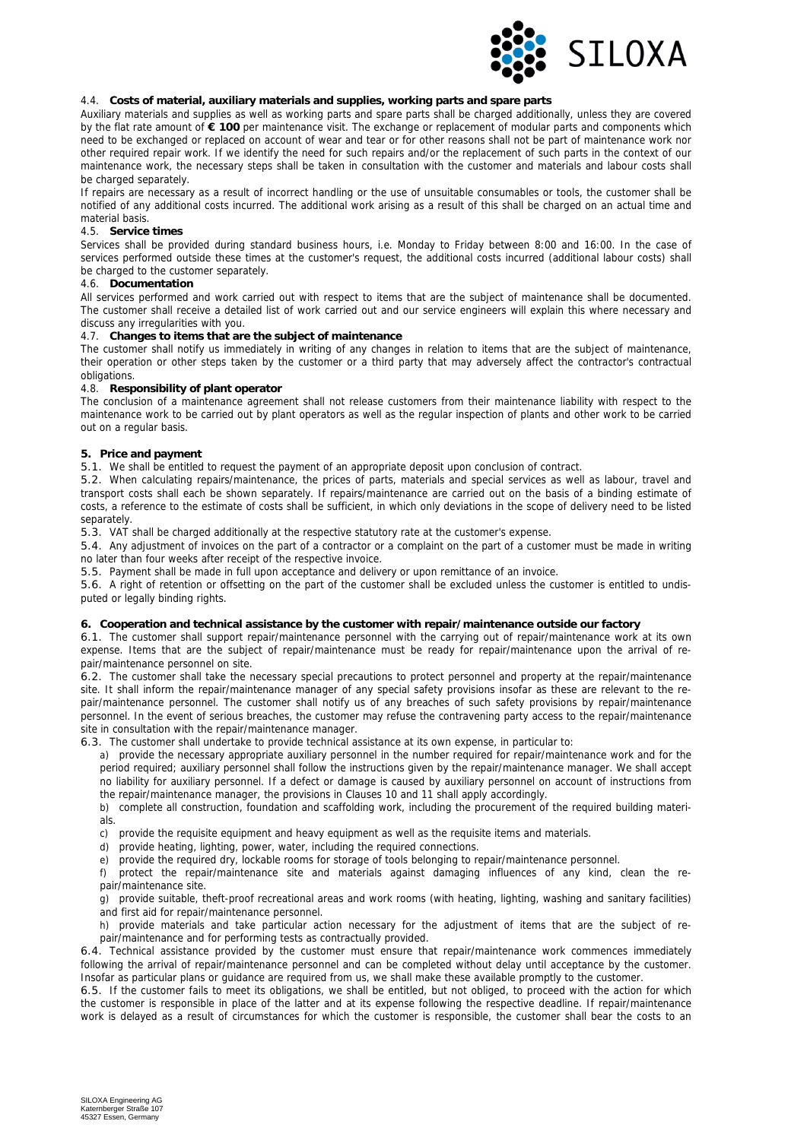

## 4.4. **Costs of material, auxiliary materials and supplies, working parts and spare parts**

Auxiliary materials and supplies as well as working parts and spare parts shall be charged additionally, unless they are covered by the flat rate amount of **€ 100** per maintenance visit. The exchange or replacement of modular parts and components which need to be exchanged or replaced on account of wear and tear or for other reasons shall not be part of maintenance work nor other required repair work. If we identify the need for such repairs and/or the replacement of such parts in the context of our maintenance work, the necessary steps shall be taken in consultation with the customer and materials and labour costs shall be charged separately.

If repairs are necessary as a result of incorrect handling or the use of unsuitable consumables or tools, the customer shall be notified of any additional costs incurred. The additional work arising as a result of this shall be charged on an actual time and material basis.

#### 4.5. **Service times**

Services shall be provided during standard business hours, i.e. Monday to Friday between 8:00 and 16:00. In the case of services performed outside these times at the customer's request, the additional costs incurred (additional labour costs) shall be charged to the customer separately.

#### 4.6. **Documentation**

All services performed and work carried out with respect to items that are the subject of maintenance shall be documented. The customer shall receive a detailed list of work carried out and our service engineers will explain this where necessary and discuss any irregularities with you.

#### 4.7. **Changes to items that are the subject of maintenance**

The customer shall notify us immediately in writing of any changes in relation to items that are the subject of maintenance, their operation or other steps taken by the customer or a third party that may adversely affect the contractor's contractual obligations.

#### 4.8. **Responsibility of plant operator**

The conclusion of a maintenance agreement shall not release customers from their maintenance liability with respect to the maintenance work to be carried out by plant operators as well as the regular inspection of plants and other work to be carried out on a regular basis.

#### **5. Price and payment**

5.1. We shall be entitled to request the payment of an appropriate deposit upon conclusion of contract.

5.2. When calculating repairs/maintenance, the prices of parts, materials and special services as well as labour, travel and transport costs shall each be shown separately. If repairs/maintenance are carried out on the basis of a binding estimate of costs, a reference to the estimate of costs shall be sufficient, in which only deviations in the scope of delivery need to be listed separately.

5.3. VAT shall be charged additionally at the respective statutory rate at the customer's expense.

5.4. Any adjustment of invoices on the part of a contractor or a complaint on the part of a customer must be made in writing no later than four weeks after receipt of the respective invoice.

5.5. Payment shall be made in full upon acceptance and delivery or upon remittance of an invoice.

5.6. A right of retention or offsetting on the part of the customer shall be excluded unless the customer is entitled to undisputed or legally binding rights.

# **6. Cooperation and technical assistance by the customer with repair/maintenance outside our factory**

6.1. The customer shall support repair/maintenance personnel with the carrying out of repair/maintenance work at its own expense. Items that are the subject of repair/maintenance must be ready for repair/maintenance upon the arrival of repair/maintenance personnel on site.

6.2. The customer shall take the necessary special precautions to protect personnel and property at the repair/maintenance site. It shall inform the repair/maintenance manager of any special safety provisions insofar as these are relevant to the repair/maintenance personnel. The customer shall notify us of any breaches of such safety provisions by repair/maintenance personnel. In the event of serious breaches, the customer may refuse the contravening party access to the repair/maintenance site in consultation with the repair/maintenance manager.

6.3. The customer shall undertake to provide technical assistance at its own expense, in particular to:

a) provide the necessary appropriate auxiliary personnel in the number required for repair/maintenance work and for the period required; auxiliary personnel shall follow the instructions given by the repair/maintenance manager. We shall accept no liability for auxiliary personnel. If a defect or damage is caused by auxiliary personnel on account of instructions from the repair/maintenance manager, the provisions in Clauses 10 and 11 shall apply accordingly.

b) complete all construction, foundation and scaffolding work, including the procurement of the required building materials.

c) provide the requisite equipment and heavy equipment as well as the requisite items and materials.

d) provide heating, lighting, power, water, including the required connections.

e) provide the required dry, lockable rooms for storage of tools belonging to repair/maintenance personnel.

f) protect the repair/maintenance site and materials against damaging influences of any kind, clean the repair/maintenance site.

g) provide suitable, theft-proof recreational areas and work rooms (with heating, lighting, washing and sanitary facilities) and first aid for repair/maintenance personnel.

h) provide materials and take particular action necessary for the adjustment of items that are the subject of repair/maintenance and for performing tests as contractually provided.

6.4. Technical assistance provided by the customer must ensure that repair/maintenance work commences immediately following the arrival of repair/maintenance personnel and can be completed without delay until acceptance by the customer. Insofar as particular plans or guidance are required from us, we shall make these available promptly to the customer.

6.5. If the customer fails to meet its obligations, we shall be entitled, but not obliged, to proceed with the action for which the customer is responsible in place of the latter and at its expense following the respective deadline. If repair/maintenance work is delayed as a result of circumstances for which the customer is responsible, the customer shall bear the costs to an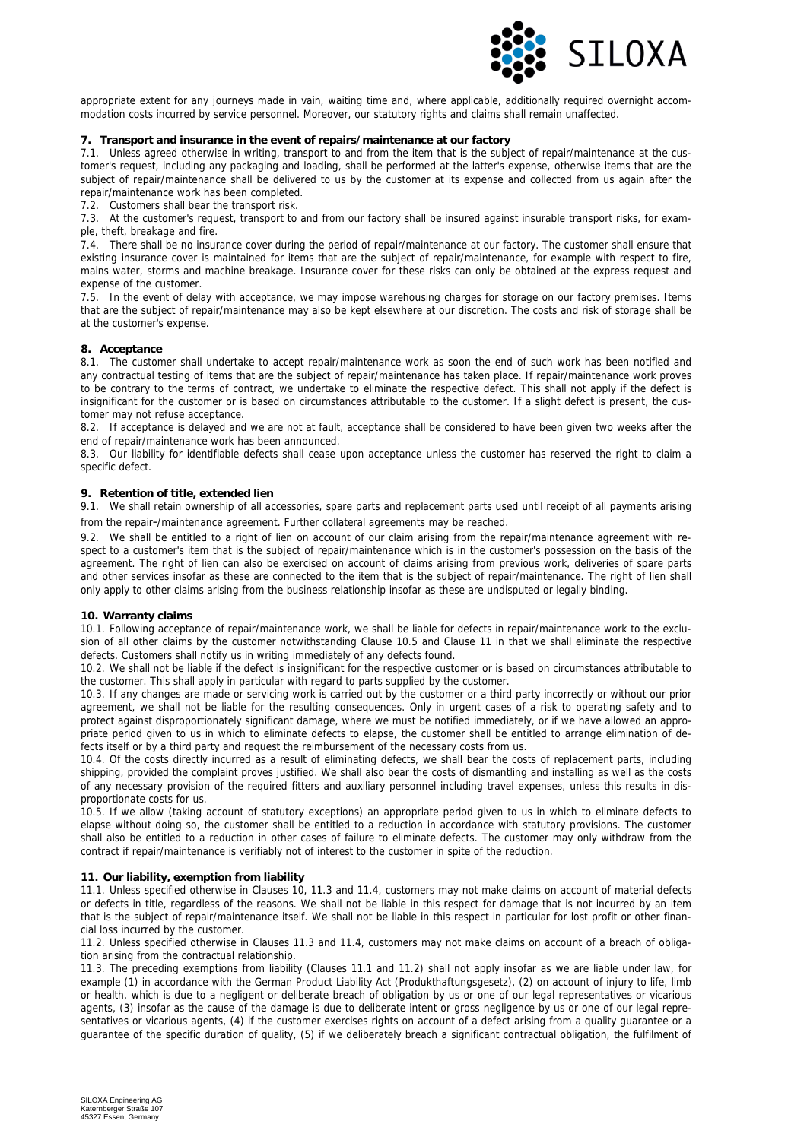

appropriate extent for any journeys made in vain, waiting time and, where applicable, additionally required overnight accommodation costs incurred by service personnel. Moreover, our statutory rights and claims shall remain unaffected.

## **7. Transport and insurance in the event of repairs/maintenance at our factory**

7.1. Unless agreed otherwise in writing, transport to and from the item that is the subject of repair/maintenance at the customer's request, including any packaging and loading, shall be performed at the latter's expense, otherwise items that are the subject of repair/maintenance shall be delivered to us by the customer at its expense and collected from us again after the repair/maintenance work has been completed.

7.2. Customers shall bear the transport risk.

7.3. At the customer's request, transport to and from our factory shall be insured against insurable transport risks, for example, theft, breakage and fire.

7.4. There shall be no insurance cover during the period of repair/maintenance at our factory. The customer shall ensure that existing insurance cover is maintained for items that are the subject of repair/maintenance, for example with respect to fire, mains water, storms and machine breakage. Insurance cover for these risks can only be obtained at the express request and expense of the customer.

7.5. In the event of delay with acceptance, we may impose warehousing charges for storage on our factory premises. Items that are the subject of repair/maintenance may also be kept elsewhere at our discretion. The costs and risk of storage shall be at the customer's expense.

#### **8. Acceptance**

8.1. The customer shall undertake to accept repair/maintenance work as soon the end of such work has been notified and any contractual testing of items that are the subject of repair/maintenance has taken place. If repair/maintenance work proves to be contrary to the terms of contract, we undertake to eliminate the respective defect. This shall not apply if the defect is insignificant for the customer or is based on circumstances attributable to the customer. If a slight defect is present, the customer may not refuse acceptance.

8.2. If acceptance is delayed and we are not at fault, acceptance shall be considered to have been given two weeks after the end of repair/maintenance work has been announced.

8.3. Our liability for identifiable defects shall cease upon acceptance unless the customer has reserved the right to claim a specific defect.

## **9. Retention of title, extended lien**

9.1. We shall retain ownership of all accessories, spare parts and replacement parts used until receipt of all payments arising from the repair-/maintenance agreement. Further collateral agreements may be reached.

9.2. We shall be entitled to a right of lien on account of our claim arising from the repair/maintenance agreement with respect to a customer's item that is the subject of repair/maintenance which is in the customer's possession on the basis of the agreement. The right of lien can also be exercised on account of claims arising from previous work, deliveries of spare parts and other services insofar as these are connected to the item that is the subject of repair/maintenance. The right of lien shall only apply to other claims arising from the business relationship insofar as these are undisputed or legally binding.

#### **10. Warranty claims**

10.1. Following acceptance of repair/maintenance work, we shall be liable for defects in repair/maintenance work to the exclusion of all other claims by the customer notwithstanding Clause 10.5 and Clause 11 in that we shall eliminate the respective defects. Customers shall notify us in writing immediately of any defects found.

10.2. We shall not be liable if the defect is insignificant for the respective customer or is based on circumstances attributable to the customer. This shall apply in particular with regard to parts supplied by the customer.

10.3. If any changes are made or servicing work is carried out by the customer or a third party incorrectly or without our prior agreement, we shall not be liable for the resulting consequences. Only in urgent cases of a risk to operating safety and to protect against disproportionately significant damage, where we must be notified immediately, or if we have allowed an appropriate period given to us in which to eliminate defects to elapse, the customer shall be entitled to arrange elimination of defects itself or by a third party and request the reimbursement of the necessary costs from us.

10.4. Of the costs directly incurred as a result of eliminating defects, we shall bear the costs of replacement parts, including shipping, provided the complaint proves justified. We shall also bear the costs of dismantling and installing as well as the costs of any necessary provision of the required fitters and auxiliary personnel including travel expenses, unless this results in disproportionate costs for us.

10.5. If we allow (taking account of statutory exceptions) an appropriate period given to us in which to eliminate defects to elapse without doing so, the customer shall be entitled to a reduction in accordance with statutory provisions. The customer shall also be entitled to a reduction in other cases of failure to eliminate defects. The customer may only withdraw from the contract if repair/maintenance is verifiably not of interest to the customer in spite of the reduction.

#### **11. Our liability, exemption from liability**

11.1. Unless specified otherwise in Clauses 10, 11.3 and 11.4, customers may not make claims on account of material defects or defects in title, regardless of the reasons. We shall not be liable in this respect for damage that is not incurred by an item that is the subject of repair/maintenance itself. We shall not be liable in this respect in particular for lost profit or other financial loss incurred by the customer.

11.2. Unless specified otherwise in Clauses 11.3 and 11.4, customers may not make claims on account of a breach of obligation arising from the contractual relationship.

11.3. The preceding exemptions from liability (Clauses 11.1 and 11.2) shall not apply insofar as we are liable under law, for example (1) in accordance with the German Product Liability Act (Produkthaftungsgesetz), (2) on account of injury to life, limb or health, which is due to a negligent or deliberate breach of obligation by us or one of our legal representatives or vicarious agents, (3) insofar as the cause of the damage is due to deliberate intent or gross negligence by us or one of our legal representatives or vicarious agents, (4) if the customer exercises rights on account of a defect arising from a quality guarantee or a guarantee of the specific duration of quality, (5) if we deliberately breach a significant contractual obligation, the fulfilment of